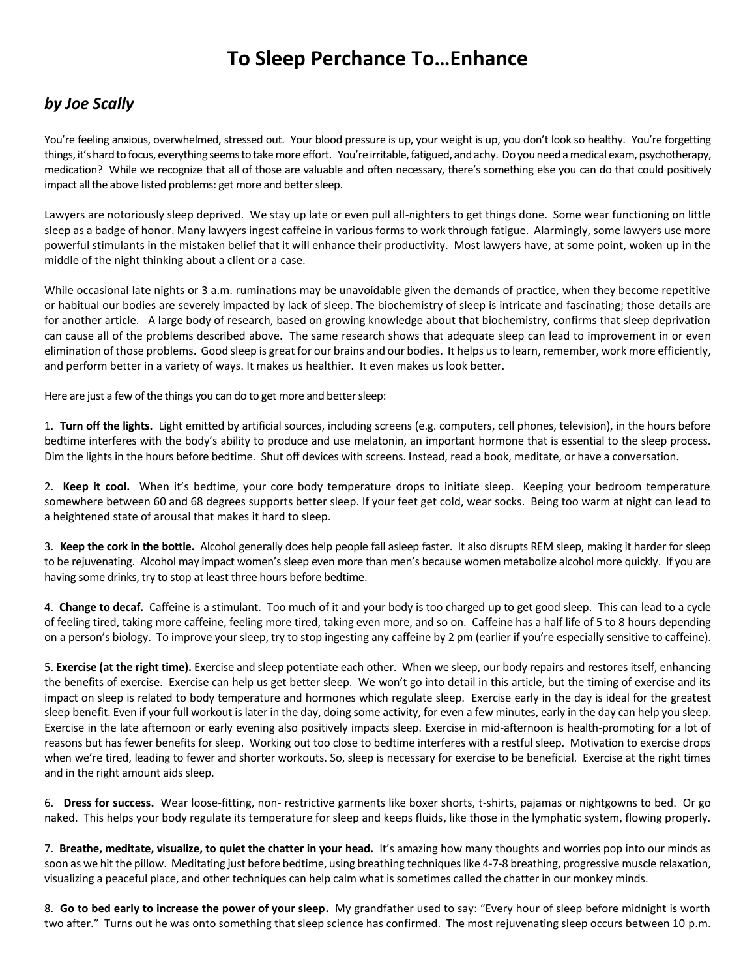## **To Sleep Perchance To…Enhance**

## *by Joe Scally*

You're feeling anxious, overwhelmed, stressed out. Your blood pressure is up, your weight is up, you don't look so healthy. You're forgetting things, it's hard to focus, everything seems to take more effort. You're irritable, fatigued, and achy. Do you need a medical exam, psychotherapy, medication? While we recognize that all of those are valuable and often necessary, there's something else you can do that could positively impact all the above listed problems: get more and better sleep.

Lawyers are notoriously sleep deprived. We stay up late or even pull all-nighters to get things done. Some wear functioning on little sleep as a badge of honor. Many lawyers ingest caffeine in various forms to work through fatigue. Alarmingly, some lawyers use more powerful stimulants in the mistaken belief that it will enhance their productivity. Most lawyers have, at some point, woken up in the middle of the night thinking about a client or a case.

While occasional late nights or 3 a.m. ruminations may be unavoidable given the demands of practice, when they become repetitive or habitual our bodies are severely impacted by lack of sleep. The biochemistry of sleep is intricate and fascinating; those details are for another article. A large body of research, based on growing knowledge about that biochemistry, confirms that sleep deprivation can cause all of the problems described above. The same research shows that adequate sleep can lead to improvement in or even elimination of those problems. Good sleep is great for our brains and our bodies. It helps us to learn, remember, work more efficiently, and perform better in a variety of ways. It makes us healthier. It even makes us look better.

Here are just a few of the things you can do to get more and better sleep:

1. **Turn off the lights.** Light emitted by artificial sources, including screens (e.g. computers, cell phones, television), in the hours before bedtime interferes with the body's ability to produce and use melatonin, an important hormone that is essential to the sleep process. Dim the lights in the hours before bedtime. Shut off devices with screens. Instead, read a book, meditate, or have a conversation.

2. **Keep it cool.** When it's bedtime, your core body temperature drops to initiate sleep. Keeping your bedroom temperature somewhere between 60 and 68 degrees supports better sleep. If your feet get cold, wear socks. Being too warm at night can lead to a heightened state of arousal that makes it hard to sleep.

3. **Keep the cork in the bottle.** Alcohol generally does help people fall asleep faster. It also disrupts REM sleep, making it harder for sleep to be rejuvenating. Alcohol may impact women's sleep even more than men's because women metabolize alcohol more quickly. If you are having some drinks, try to stop at least three hours before bedtime.

4. **Change to decaf.** Caffeine is a stimulant. Too much of it and your body is too charged up to get good sleep. This can lead to a cycle of feeling tired, taking more caffeine, feeling more tired, taking even more, and so on. Caffeine has a half life of 5 to 8 hours depending on a person's biology. To improve your sleep, try to stop ingesting any caffeine by 2 pm (earlier if you're especially sensitive to caffeine).

5. **Exercise (at the right time).** Exercise and sleep potentiate each other. When we sleep, our body repairs and restores itself, enhancing the benefits of exercise. Exercise can help us get better sleep. We won't go into detail in this article, but the timing of exercise and its impact on sleep is related to body temperature and hormones which regulate sleep. Exercise early in the day is ideal for the greatest sleep benefit. Even if your full workout is later in the day, doing some activity, for even a few minutes, early in the day can help you sleep. Exercise in the late afternoon or early evening also positively impacts sleep. Exercise in mid-afternoon is health-promoting for a lot of reasons but has fewer benefits for sleep. Working out too close to bedtime interferes with a restful sleep. Motivation to exercise drops when we're tired, leading to fewer and shorter workouts. So, sleep is necessary for exercise to be beneficial. Exercise at the right times and in the right amount aids sleep.

6. **Dress for success.** Wear loose-fitting, non- restrictive garments like boxer shorts, t-shirts, pajamas or nightgowns to bed. Or go naked. This helps your body regulate its temperature for sleep and keeps fluids, like those in the lymphatic system, flowing properly.

7. **Breathe, meditate, visualize, to quiet the chatter in your head.** It's amazing how many thoughts and worries pop into our minds as soon as we hit the pillow. Meditating just before bedtime, using breathing techniques like 4-7-8 breathing, progressive muscle relaxation, visualizing a peaceful place, and other techniques can help calm what is sometimes called the chatter in our monkey minds.

8. **Go to bed early to increase the power of your sleep.** My grandfather used to say: "Every hour of sleep before midnight is worth two after." Turns out he was onto something that sleep science has confirmed. The most rejuvenating sleep occurs between 10 p.m.